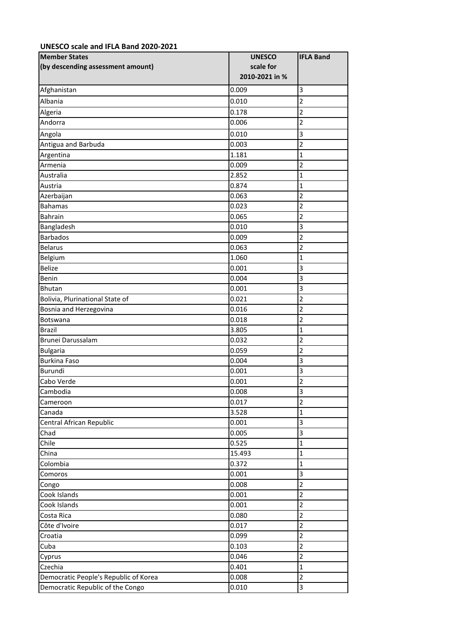## **UNESCO scale and IFLA Band 2020-2021**

| <b>Member States</b><br>(by descending assessment amount) | <b>UNESCO</b><br>scale for<br>2010-2021 in % | <b>IFLA Band</b>        |
|-----------------------------------------------------------|----------------------------------------------|-------------------------|
| Afghanistan                                               | 0.009                                        | 3                       |
| Albania                                                   | 0.010                                        | $\overline{2}$          |
| Algeria                                                   | 0.178                                        | $\overline{2}$          |
| Andorra                                                   | 0.006                                        | $\overline{2}$          |
| Angola                                                    | 0.010                                        | 3                       |
| Antigua and Barbuda                                       | 0.003                                        | $\overline{2}$          |
| Argentina                                                 | 1.181                                        | $\mathbf 1$             |
| Armenia                                                   | 0.009                                        | $\overline{2}$          |
| Australia                                                 | 2.852                                        | $\overline{1}$          |
| Austria                                                   | 0.874                                        | 1                       |
| Azerbaijan                                                | 0.063                                        | $\overline{2}$          |
| <b>Bahamas</b>                                            | 0.023                                        | $\overline{2}$          |
| Bahrain                                                   | 0.065                                        | $\overline{\mathbf{c}}$ |
| Bangladesh                                                | 0.010                                        | 3                       |
| <b>Barbados</b>                                           | 0.009                                        | $\overline{2}$          |
| <b>Belarus</b>                                            | 0.063                                        | $\overline{2}$          |
| Belgium                                                   | 1.060                                        | $\mathbf{1}$            |
| <b>Belize</b>                                             | 0.001                                        | 3                       |
| Benin                                                     | 0.004                                        | 3                       |
| <b>Bhutan</b>                                             | 0.001                                        | 3                       |
| Bolivia, Plurinational State of                           | 0.021                                        | $\overline{2}$          |
| Bosnia and Herzegovina                                    | 0.016                                        | $\overline{2}$          |
| Botswana                                                  | 0.018                                        | $\overline{2}$          |
| <b>Brazil</b>                                             | 3.805                                        | $\mathbf{1}$            |
| Brunei Darussalam                                         | 0.032                                        | $\overline{2}$          |
| <b>Bulgaria</b>                                           | 0.059                                        | $\overline{2}$          |
| <b>Burkina Faso</b>                                       | 0.004                                        | 3                       |
| Burundi                                                   | 0.001                                        | 3                       |
| Cabo Verde                                                | 0.001                                        | $\overline{2}$          |
| Cambodia                                                  | 0.008                                        | $\overline{3}$          |
| Cameroon                                                  | 0.017                                        | $\overline{2}$          |
| Canada                                                    | 3.528                                        | $\mathbf{1}$            |
| Central African Republic                                  | 0.001                                        | 3                       |
| Chad                                                      | 0.005                                        | 3                       |
| Chile                                                     | 0.525                                        | $\mathbf{1}$            |
| China                                                     | 15.493                                       | $\mathbf{1}$            |
| Colombia                                                  | 0.372                                        | $\mathbf{1}$            |
| Comoros                                                   | 0.001                                        | 3                       |
| Congo                                                     | 0.008                                        | $\overline{2}$          |
| Cook Islands                                              | 0.001                                        | $\overline{2}$          |
| Cook Islands                                              | 0.001                                        | $\overline{2}$          |
| Costa Rica                                                | 0.080                                        | $\overline{2}$          |
| Côte d'Ivoire                                             | 0.017                                        | $\overline{2}$          |
| Croatia                                                   | 0.099                                        | $\overline{2}$          |
| Cuba                                                      | 0.103                                        | $\mathbf 2$             |
| Cyprus                                                    | 0.046                                        | $\overline{c}$          |
| Czechia                                                   | 0.401                                        | $\overline{1}$          |
| Democratic People's Republic of Korea                     | 0.008                                        | $\overline{2}$          |
| Democratic Republic of the Congo                          | 0.010                                        | 3                       |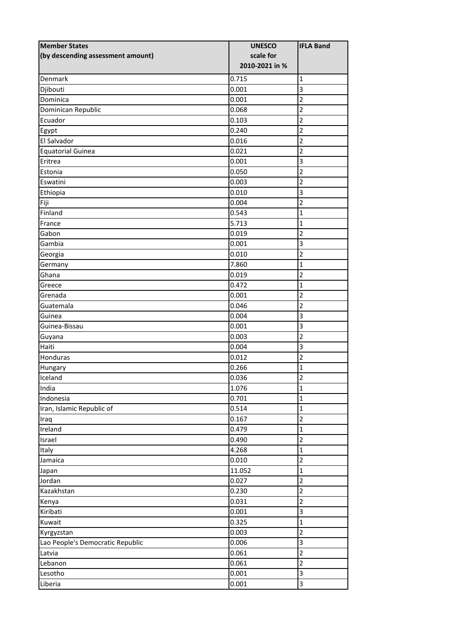| <b>Member States</b>              | <b>UNESCO</b>  | <b>IFLA Band</b>        |
|-----------------------------------|----------------|-------------------------|
| (by descending assessment amount) | scale for      |                         |
|                                   | 2010-2021 in % |                         |
| Denmark                           | 0.715          | $\mathbf{1}$            |
| Djibouti                          | 0.001          | 3                       |
| Dominica                          | 0.001          | $\overline{2}$          |
| Dominican Republic                | 0.068          | $\overline{2}$          |
| Ecuador                           | 0.103          | $\overline{2}$          |
| Egypt                             | 0.240          | $\overline{2}$          |
| El Salvador                       | 0.016          | $\overline{2}$          |
| <b>Equatorial Guinea</b>          | 0.021          | $\overline{2}$          |
| Eritrea                           | 0.001          | 3                       |
| Estonia                           | 0.050          | $\overline{c}$          |
| Eswatini                          | 0.003          | $\overline{2}$          |
| Ethiopia                          | 0.010          | 3                       |
| Fiji                              | 0.004          | $\overline{2}$          |
| Finland                           | 0.543          | $\mathbf 1$             |
| France                            | 5.713          | $\mathbf{1}$            |
| Gabon                             | 0.019          | $\overline{2}$          |
| Gambia                            | 0.001          | $\overline{\mathbf{3}}$ |
| Georgia                           | 0.010          | $\overline{2}$          |
| Germany                           | 7.860          | $\mathbf{1}$            |
| Ghana                             | 0.019          | $\overline{2}$          |
| Greece                            | 0.472          | $\mathbf 1$             |
| Grenada                           | 0.001          | $\overline{2}$          |
| Guatemala                         | 0.046          | $\overline{2}$          |
| Guinea                            | 0.004          | 3                       |
| Guinea-Bissau                     | 0.001          | 3                       |
| Guyana                            | 0.003          | $\overline{2}$          |
| Haiti                             | 0.004          | 3                       |
| Honduras                          | 0.012          | $\overline{2}$          |
| Hungary                           | 0.266          | $\mathbf 1$             |
| Iceland                           | 0.036          | $\overline{\mathbf{c}}$ |
| India                             | 1.076          | $\overline{1}$          |
| Indonesia                         | 0.701          | $\mathbf{1}$            |
| Iran, Islamic Republic of         | 0.514          | $\mathbf{1}$            |
| Iraq                              | 0.167          | $\overline{2}$          |
| Ireland                           | 0.479          | $\mathbf{1}$            |
| Israel                            | 0.490          | $\overline{2}$          |
| Italy                             | 4.268          | $\mathbf{1}$            |
| Jamaica                           | 0.010          | $\overline{c}$          |
| Japan                             | 11.052         | $\mathbf{1}$            |
| Jordan                            | 0.027          | $\overline{2}$          |
| Kazakhstan                        | 0.230          | $\overline{2}$          |
| Kenya                             | 0.031          | $\overline{c}$          |
| Kiribati                          | 0.001          | 3                       |
| Kuwait                            | 0.325          | $\mathbf{1}$            |
| Kyrgyzstan                        | 0.003          | $\overline{c}$          |
| Lao People's Democratic Republic  | 0.006          | 3                       |
| Latvia                            | 0.061          | $\overline{2}$          |
| Lebanon                           | 0.061          | $\overline{2}$          |
| Lesotho                           | 0.001          | $\overline{\mathbf{3}}$ |
|                                   |                | 3                       |
| Liberia                           | 0.001          |                         |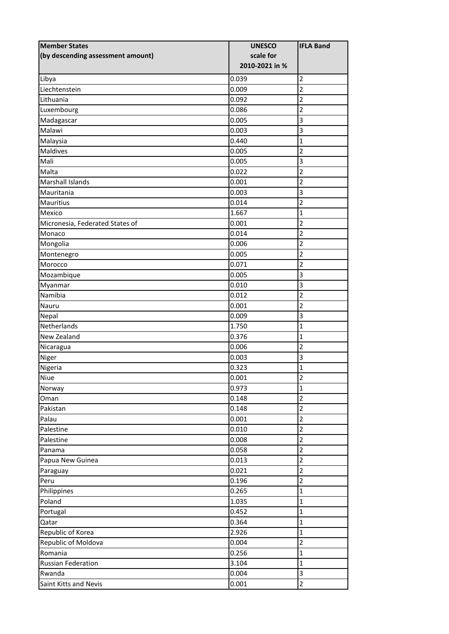| <b>Member States</b>              | <b>UNESCO</b>  | <b>IFLA Band</b>             |
|-----------------------------------|----------------|------------------------------|
| (by descending assessment amount) | scale for      |                              |
|                                   | 2010-2021 in % |                              |
| Libya                             | 0.039          | $\overline{2}$               |
| Liechtenstein                     | 0.009          | $\overline{2}$               |
| Lithuania                         | 0.092          | 2                            |
| Luxembourg                        | 0.086          | $\overline{2}$               |
| Madagascar                        | 0.005          | 3                            |
| Malawi                            | 0.003          | 3                            |
| Malaysia                          | 0.440          | $\mathbf 1$                  |
| Maldives                          | 0.005          | $\overline{2}$               |
| Mali                              | 0.005          | 3                            |
| Malta                             | 0.022          | $\overline{c}$               |
| <b>Marshall Islands</b>           | 0.001          | $\overline{2}$               |
| Mauritania                        | 0.003          | 3                            |
| <b>Mauritius</b>                  | 0.014          | $\overline{c}$               |
| Mexico                            | 1.667          | $\mathbf 1$                  |
| Micronesia, Federated States of   | 0.001          | $\overline{2}$               |
| Monaco                            | 0.014          | $\overline{2}$               |
| Mongolia                          | 0.006          | $\overline{c}$               |
| Montenegro                        | 0.005          | $\overline{\mathbf{c}}$      |
| Morocco                           | 0.071          | $\overline{2}$               |
| Mozambique                        | 0.005          | 3                            |
| Myanmar                           | 0.010          | 3                            |
| Namibia                           | 0.012          | $\overline{2}$               |
| Nauru                             | 0.001          | $\overline{2}$               |
| Nepal                             | 0.009          | 3                            |
| Netherlands                       | 1.750          | $\mathbf 1$                  |
| New Zealand                       | 0.376          | $\mathbf 1$                  |
| Nicaragua                         | 0.006          | $\overline{c}$               |
| Niger                             | 0.003          | 3                            |
| Nigeria                           | 0.323          | $\mathbf 1$                  |
| Niue                              | 0.001          | $\overline{\mathbf{c}}$      |
| Norway                            | 0.973          | $\overline{1}$               |
| Oman                              | 0.148          | $\overline{2}$               |
| Pakistan                          | 0.148          | $\overline{2}$               |
| Palau                             | 0.001          | $\overline{2}$               |
| Palestine                         | 0.010          | $\overline{2}$               |
| Palestine                         | 0.008          | $\overline{2}$               |
| Panama                            | 0.058          | $\overline{2}$               |
| Papua New Guinea                  | 0.013          | $\overline{c}$               |
| Paraguay                          | 0.021          | $\overline{2}$               |
| Peru                              | 0.196          | $\overline{2}$               |
| Philippines                       | 0.265          | $\mathbf{1}$                 |
| Poland                            | 1.035          | $\mathbf 1$                  |
|                                   |                | $\mathbf{1}$                 |
| Portugal                          | 0.452          | $\mathbf{1}$                 |
| Qatar                             | 0.364          |                              |
| Republic of Korea                 | 2.926          | $\overline{1}$               |
| Republic of Moldova               | 0.004          | $\overline{2}$               |
| Romania                           | 0.256          | $\mathbf{1}$<br>$\mathbf{1}$ |
| Russian Federation                | 3.104          |                              |
| Rwanda                            | 0.004          | 3                            |
| Saint Kitts and Nevis             | 0.001          | $\overline{2}$               |